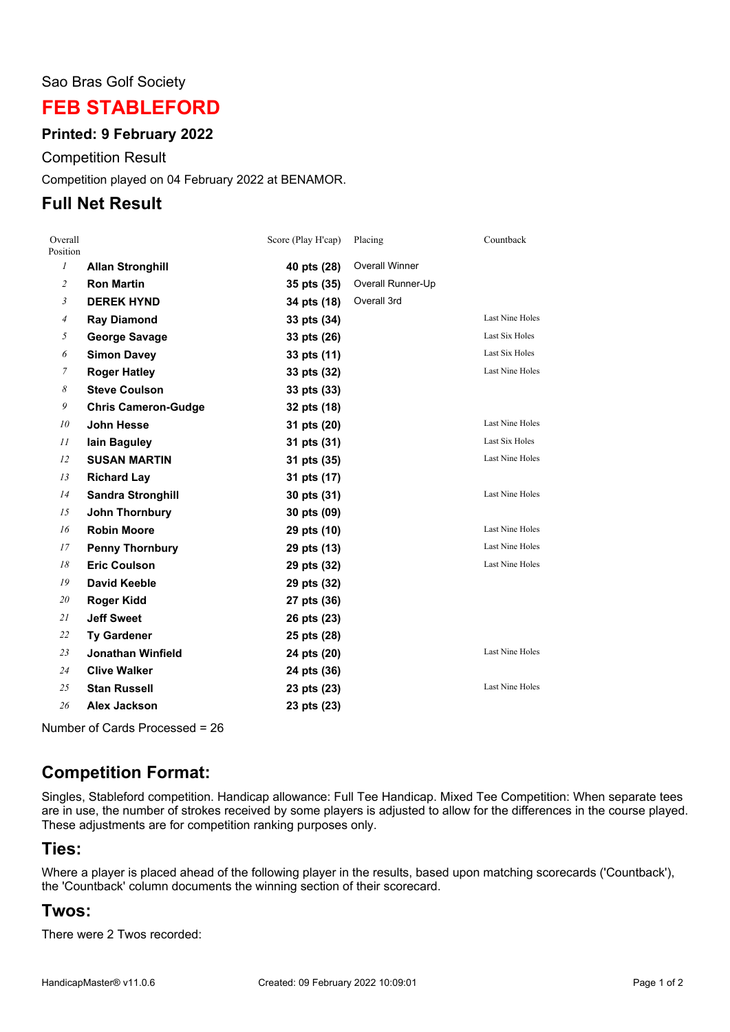#### Sao Bras Golf Society

## **FEB STABLEFORD**

#### **Printed: 9 February 2022**

Competition Result

Competition played on 04 February 2022 at BENAMOR.

### **Full Net Result**

| Overall<br>Position |                            | Score (Play H'cap) | Placing               | Countback              |
|---------------------|----------------------------|--------------------|-----------------------|------------------------|
| $\mathcal{I}$       | <b>Allan Stronghill</b>    | 40 pts (28)        | <b>Overall Winner</b> |                        |
| $\overline{c}$      | <b>Ron Martin</b>          | 35 pts (35)        | Overall Runner-Up     |                        |
| 3                   | <b>DEREK HYND</b>          | 34 pts (18)        | Overall 3rd           |                        |
| $\overline{4}$      | <b>Ray Diamond</b>         | 33 pts (34)        |                       | <b>Last Nine Holes</b> |
| 5                   | <b>George Savage</b>       | 33 pts (26)        |                       | Last Six Holes         |
| 6                   | <b>Simon Davey</b>         | 33 pts (11)        |                       | Last Six Holes         |
| 7                   | <b>Roger Hatley</b>        | 33 pts (32)        |                       | <b>Last Nine Holes</b> |
| 8                   | <b>Steve Coulson</b>       | 33 pts (33)        |                       |                        |
| 9                   | <b>Chris Cameron-Gudge</b> | 32 pts (18)        |                       |                        |
| 10                  | John Hesse                 | 31 pts (20)        |                       | <b>Last Nine Holes</b> |
| 11                  | lain Baguley               | 31 pts (31)        |                       | Last Six Holes         |
| 12                  | <b>SUSAN MARTIN</b>        | 31 pts (35)        |                       | <b>Last Nine Holes</b> |
| 13                  | <b>Richard Lay</b>         | 31 pts (17)        |                       |                        |
| 14                  | <b>Sandra Stronghill</b>   | 30 pts (31)        |                       | <b>Last Nine Holes</b> |
| 15                  | <b>John Thornbury</b>      | 30 pts (09)        |                       |                        |
| 16                  | <b>Robin Moore</b>         | 29 pts (10)        |                       | <b>Last Nine Holes</b> |
| 17                  | <b>Penny Thornbury</b>     | 29 pts (13)        |                       | <b>Last Nine Holes</b> |
| 18                  | <b>Eric Coulson</b>        | 29 pts (32)        |                       | <b>Last Nine Holes</b> |
| 19                  | <b>David Keeble</b>        | 29 pts (32)        |                       |                        |
| 20                  | Roger Kidd                 | 27 pts (36)        |                       |                        |
| 21                  | <b>Jeff Sweet</b>          | 26 pts (23)        |                       |                        |
| 22                  | <b>Ty Gardener</b>         | 25 pts (28)        |                       |                        |
| 23                  | <b>Jonathan Winfield</b>   | 24 pts (20)        |                       | <b>Last Nine Holes</b> |
| 24                  | <b>Clive Walker</b>        | 24 pts (36)        |                       |                        |
| 25                  | <b>Stan Russell</b>        | 23 pts (23)        |                       | <b>Last Nine Holes</b> |
| 26                  | Alex Jackson               | 23 pts (23)        |                       |                        |

Number of Cards Processed = 26

# **Competition Format:**

Singles, Stableford competition. Handicap allowance: Full Tee Handicap. Mixed Tee Competition: When separate tees are in use, the number of strokes received by some players is adjusted to allow for the differences in the course played. These adjustments are for competition ranking purposes only.

#### **Ties:**

Where a player is placed ahead of the following player in the results, based upon matching scorecards ('Countback'), the 'Countback' column documents the winning section of their scorecard.

### **Twos:**

There were 2 Twos recorded: